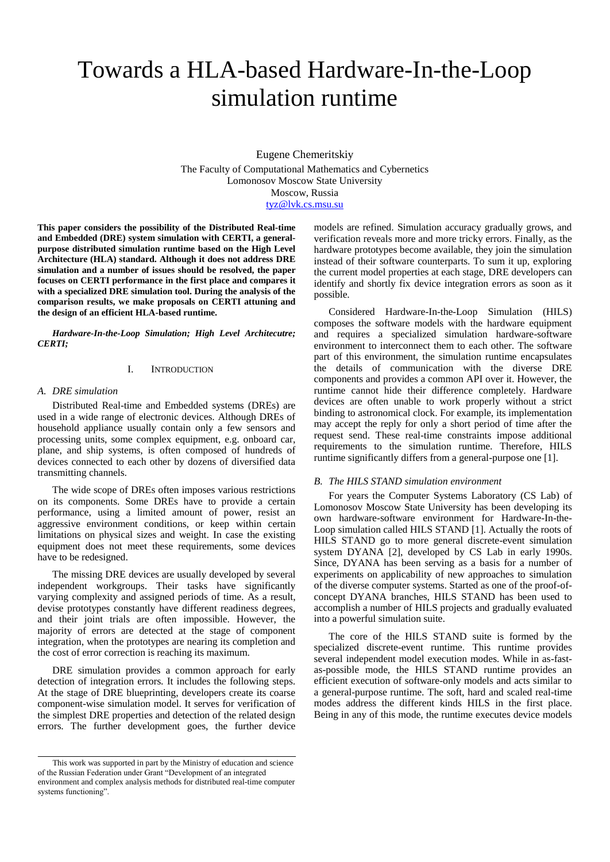# Towards a HLA-based Hardware-In-the-Loop simulation runtime

Eugene Chemeritskiy The Faculty of Computational Mathematics and Cybernetics Lomonosov Moscow State University Moscow, Russia

[tyz@lvk.cs.msu.su](mailto:tyz@lvk.cs.msu.su)

**This paper considers the possibility of the Distributed Real-time and Embedded (DRE) system simulation with CERTI, a generalpurpose distributed simulation runtime based on the High Level Architecture (HLA) standard. Although it does not address DRE simulation and a number of issues should be resolved, the paper focuses on CERTI performance in the first place and compares it with a specialized DRE simulation tool. During the analysis of the comparison results, we make proposals on CERTI attuning and the design of an efficient HLA-based runtime.**

*Hardware-In-the-Loop Simulation; High Level Architecutre; CERTI;*

# I. INTRODUCTION

## *A. DRE simulation*

Distributed Real-time and Embedded systems (DREs) are used in a wide range of electronic devices. Although DREs of household appliance usually contain only a few sensors and processing units, some complex equipment, e.g. onboard car, plane, and ship systems, is often composed of hundreds of devices connected to each other by dozens of diversified data transmitting channels.

The wide scope of DREs often imposes various restrictions on its components. Some DREs have to provide a certain performance, using a limited amount of power, resist an aggressive environment conditions, or keep within certain limitations on physical sizes and weight. In case the existing equipment does not meet these requirements, some devices have to be redesigned.

The missing DRE devices are usually developed by several independent workgroups. Their tasks have significantly varying complexity and assigned periods of time. As a result, devise prototypes constantly have different readiness degrees, and their joint trials are often impossible. However, the majority of errors are detected at the stage of component integration, when the prototypes are nearing its completion and the cost of error correction is reaching its maximum.

DRE simulation provides a common approach for early detection of integration errors. It includes the following steps. At the stage of DRE blueprinting, developers create its coarse component-wise simulation model. It serves for verification of the simplest DRE properties and detection of the related design errors. The further development goes, the further device

models are refined. Simulation accuracy gradually grows, and verification reveals more and more tricky errors. Finally, as the hardware prototypes become available, they join the simulation instead of their software counterparts. To sum it up, exploring the current model properties at each stage, DRE developers can identify and shortly fix device integration errors as soon as it possible.

Considered Hardware-In-the-Loop Simulation (HILS) composes the software models with the hardware equipment and requires a specialized simulation hardware-software environment to interconnect them to each other. The software part of this environment, the simulation runtime encapsulates the details of communication with the diverse DRE components and provides a common API over it. However, the runtime cannot hide their difference completely. Hardware devices are often unable to work properly without a strict binding to astronomical clock. For example, its implementation may accept the reply for only a short period of time after the request send. These real-time constraints impose additional requirements to the simulation runtime. Therefore, HILS runtime significantly differs from a general-purpose one [1].

### *B. The HILS STAND simulation environment*

For years the Computer Systems Laboratory (CS Lab) of Lomonosov Moscow State University has been developing its own hardware-software environment for Hardware-In-the-Loop simulation called HILS STAND [1]. Actually the roots of HILS STAND go to more general discrete-event simulation system DYANA [2], developed by CS Lab in early 1990s. Since, DYANA has been serving as a basis for a number of experiments on applicability of new approaches to simulation of the diverse computer systems. Started as one of the proof-ofconcept DYANA branches, HILS STAND has been used to accomplish a number of HILS projects and gradually evaluated into a powerful simulation suite.

The core of the HILS STAND suite is formed by the specialized discrete-event runtime. This runtime provides several independent model execution modes. While in as-fastas-possible mode, the HILS STAND runtime provides an efficient execution of software-only models and acts similar to a general-purpose runtime. The soft, hard and scaled real-time modes address the different kinds HILS in the first place. Being in any of this mode, the runtime executes device models

This work was supported in part by the Ministry of education and science of the Russian Federation under Grant "Development of an integrated environment and complex analysis methods for distributed real-time computer systems functioning".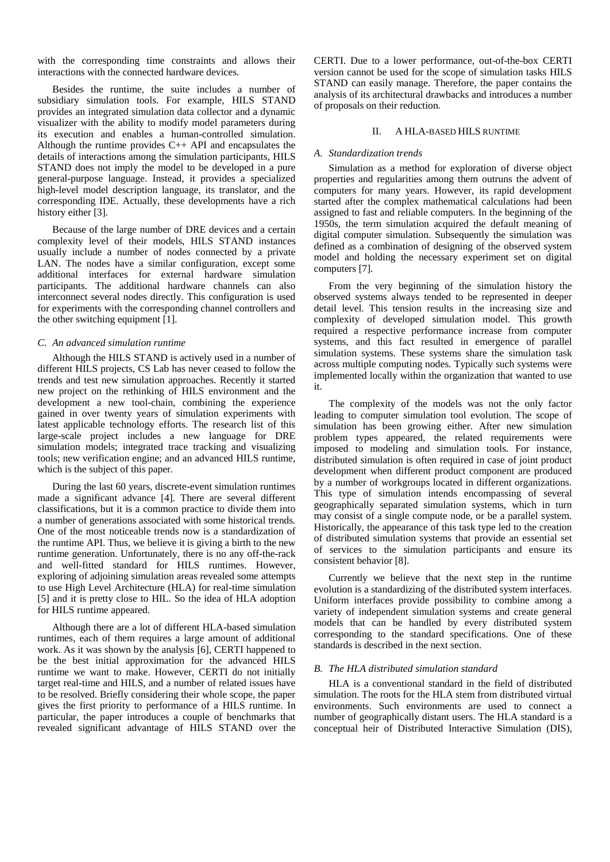with the corresponding time constraints and allows their interactions with the connected hardware devices.

Besides the runtime, the suite includes a number of subsidiary simulation tools. For example, HILS STAND provides an integrated simulation data collector and a dynamic visualizer with the ability to modify model parameters during its execution and enables a human-controlled simulation. Although the runtime provides C++ API and encapsulates the details of interactions among the simulation participants, HILS STAND does not imply the model to be developed in a pure general-purpose language. Instead, it provides a specialized high-level model description language, its translator, and the corresponding IDE. Actually, these developments have a rich history either [3].

Because of the large number of DRE devices and a certain complexity level of their models, HILS STAND instances usually include a number of nodes connected by a private LAN. The nodes have a similar configuration, except some additional interfaces for external hardware simulation participants. The additional hardware channels can also interconnect several nodes directly. This configuration is used for experiments with the corresponding channel controllers and the other switching equipment [1].

# *C. An advanced simulation runtime*

Although the HILS STAND is actively used in a number of different HILS projects, CS Lab has never ceased to follow the trends and test new simulation approaches. Recently it started new project on the rethinking of HILS environment and the development a new tool-chain, combining the experience gained in over twenty years of simulation experiments with latest applicable technology efforts. The research list of this large-scale project includes a new language for DRE simulation models; integrated trace tracking and visualizing tools; new verification engine; and an advanced HILS runtime, which is the subject of this paper.

During the last 60 years, discrete-event simulation runtimes made a significant advance [4]. There are several different classifications, but it is a common practice to divide them into a number of generations associated with some historical trends. One of the most noticeable trends now is a standardization of the runtime API. Thus, we believe it is giving a birth to the new runtime generation. Unfortunately, there is no any off-the-rack and well-fitted standard for HILS runtimes. However, exploring of adjoining simulation areas revealed some attempts to use High Level Architecture (HLA) for real-time simulation [5] and it is pretty close to HIL. So the idea of HLA adoption for HILS runtime appeared.

Although there are a lot of different HLA-based simulation runtimes, each of them requires a large amount of additional work. As it was shown by the analysis [6], CERTI happened to be the best initial approximation for the advanced HILS runtime we want to make. However, CERTI do not initially target real-time and HILS, and a number of related issues have to be resolved. Briefly considering their whole scope, the paper gives the first priority to performance of a HILS runtime. In particular, the paper introduces a couple of benchmarks that revealed significant advantage of HILS STAND over the

CERTI. Due to a lower performance, out-of-the-box CERTI version cannot be used for the scope of simulation tasks HILS STAND can easily manage. Therefore, the paper contains the analysis of its architectural drawbacks and introduces a number of proposals on their reduction.

# II. A HLA-BASED HILS RUNTIME

## *A. Standardization trends*

Simulation as a method for exploration of diverse object properties and regularities among them outruns the advent of computers for many years. However, its rapid development started after the complex mathematical calculations had been assigned to fast and reliable computers. In the beginning of the 1950s, the term simulation acquired the default meaning of digital computer simulation. Subsequently the simulation was defined as a combination of designing of the observed system model and holding the necessary experiment set on digital computers [7].

From the very beginning of the simulation history the observed systems always tended to be represented in deeper detail level. This tension results in the increasing size and complexity of developed simulation model. This growth required a respective performance increase from computer systems, and this fact resulted in emergence of parallel simulation systems. These systems share the simulation task across multiple computing nodes. Typically such systems were implemented locally within the organization that wanted to use it.

The complexity of the models was not the only factor leading to computer simulation tool evolution. The scope of simulation has been growing either. After new simulation problem types appeared, the related requirements were imposed to modeling and simulation tools. For instance, distributed simulation is often required in case of joint product development when different product component are produced by a number of workgroups located in different organizations. This type of simulation intends encompassing of several geographically separated simulation systems, which in turn may consist of a single compute node, or be a parallel system. Historically, the appearance of this task type led to the creation of distributed simulation systems that provide an essential set of services to the simulation participants and ensure its consistent behavior [8].

Currently we believe that the next step in the runtime evolution is a standardizing of the distributed system interfaces. Uniform interfaces provide possibility to combine among a variety of independent simulation systems and create general models that can be handled by every distributed system corresponding to the standard specifications. One of these standards is described in the next section.

# *B. The HLA distributed simulation standard*

HLA is a conventional standard in the field of distributed simulation. The roots for the HLA stem from distributed virtual environments. Such environments are used to connect a number of geographically distant users. The HLA standard is a conceptual heir of Distributed Interactive Simulation (DIS),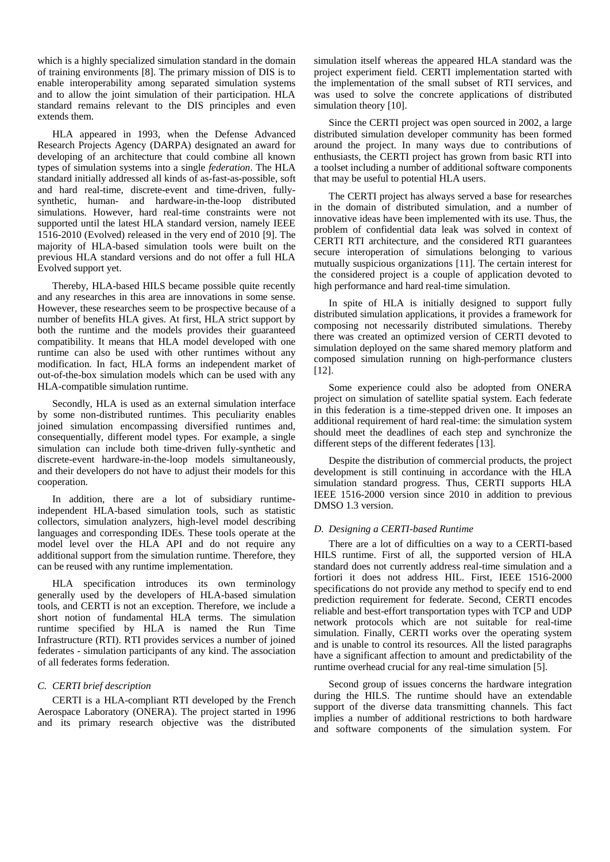which is a highly specialized simulation standard in the domain of training environments [8]. The primary mission of DIS is to enable interoperability among separated simulation systems and to allow the joint simulation of their participation. HLA standard remains relevant to the DIS principles and even extends them.

HLA appeared in 1993, when the Defense Advanced Research Projects Agency (DARPA) designated an award for developing of an architecture that could combine all known types of simulation systems into a single *federation*. The HLA standard initially addressed all kinds of as-fast-as-possible, soft and hard real-time, discrete-event and time-driven, fullysynthetic, human- and hardware-in-the-loop distributed simulations. However, hard real-time constraints were not supported until the latest HLA standard version, namely IEEE 1516-2010 (Evolved) released in the very end of 2010 [9]. The majority of HLA-based simulation tools were built on the previous HLA standard versions and do not offer a full HLA Evolved support yet.

Thereby, HLA-based HILS became possible quite recently and any researches in this area are innovations in some sense. However, these researches seem to be prospective because of a number of benefits HLA gives. At first, HLA strict support by both the runtime and the models provides their guaranteed compatibility. It means that HLA model developed with one runtime can also be used with other runtimes without any modification. In fact, HLA forms an independent market of out-of-the-box simulation models which can be used with any HLA-compatible simulation runtime.

Secondly, HLA is used as an external simulation interface by some non-distributed runtimes. This peculiarity enables joined simulation encompassing diversified runtimes and, consequentially, different model types. For example, a single simulation can include both time-driven fully-synthetic and discrete-event hardware-in-the-loop models simultaneously, and their developers do not have to adjust their models for this cooperation.

In addition, there are a lot of subsidiary runtimeindependent HLA-based simulation tools, such as statistic collectors, simulation analyzers, high-level model describing languages and corresponding IDEs. These tools operate at the model level over the HLA API and do not require any additional support from the simulation runtime. Therefore, they can be reused with any runtime implementation.

HLA specification introduces its own terminology generally used by the developers of HLA-based simulation tools, and CERTI is not an exception. Therefore, we include a short notion of fundamental HLA terms. The simulation runtime specified by HLA is named the Run Time Infrastructure (RTI). RTI provides services a number of joined federates - simulation participants of any kind. The association of all federates forms federation.

## *C. CERTI brief description*

CERTI is a HLA-compliant RTI developed by the French Aerospace Laboratory (ONERA). The project started in 1996 and its primary research objective was the distributed

simulation itself whereas the appeared HLA standard was the project experiment field. CERTI implementation started with the implementation of the small subset of RTI services, and was used to solve the concrete applications of distributed simulation theory [10].

Since the CERTI project was open sourced in 2002, a large distributed simulation developer community has been formed around the project. In many ways due to contributions of enthusiasts, the CERTI project has grown from basic RTI into a toolset including a number of additional software components that may be useful to potential HLA users.

The CERTI project has always served a base for researches in the domain of distributed simulation, and a number of innovative ideas have been implemented with its use. Thus, the problem of confidential data leak was solved in context of CERTI RTI architecture, and the considered RTI guarantees secure interoperation of simulations belonging to various mutually suspicious organizations [11]. The certain interest for the considered project is a couple of application devoted to high performance and hard real-time simulation.

In spite of HLA is initially designed to support fully distributed simulation applications, it provides a framework for composing not necessarily distributed simulations. Thereby there was created an optimized version of CERTI devoted to simulation deployed on the same shared memory platform and composed simulation running on high-performance clusters [12].

Some experience could also be adopted from ONERA project on simulation of satellite spatial system. Each federate in this federation is a time-stepped driven one. It imposes an additional requirement of hard real-time: the simulation system should meet the deadlines of each step and synchronize the different steps of the different federates [13].

Despite the distribution of commercial products, the project development is still continuing in accordance with the HLA simulation standard progress. Thus, CERTI supports HLA IEEE 1516-2000 version since 2010 in addition to previous DMSO 1.3 version.

# *D. Designing a CERTI-based Runtime*

There are a lot of difficulties on a way to a CERTI-based HILS runtime. First of all, the supported version of HLA standard does not currently address real-time simulation and a fortiori it does not address HIL. First, IEEE 1516-2000 specifications do not provide any method to specify end to end prediction requirement for federate. Second, CERTI encodes reliable and best-effort transportation types with TCP and UDP network protocols which are not suitable for real-time simulation. Finally, CERTI works over the operating system and is unable to control its resources. All the listed paragraphs have a significant affection to amount and predictability of the runtime overhead crucial for any real-time simulation [5].

Second group of issues concerns the hardware integration during the HILS. The runtime should have an extendable support of the diverse data transmitting channels. This fact implies a number of additional restrictions to both hardware and software components of the simulation system. For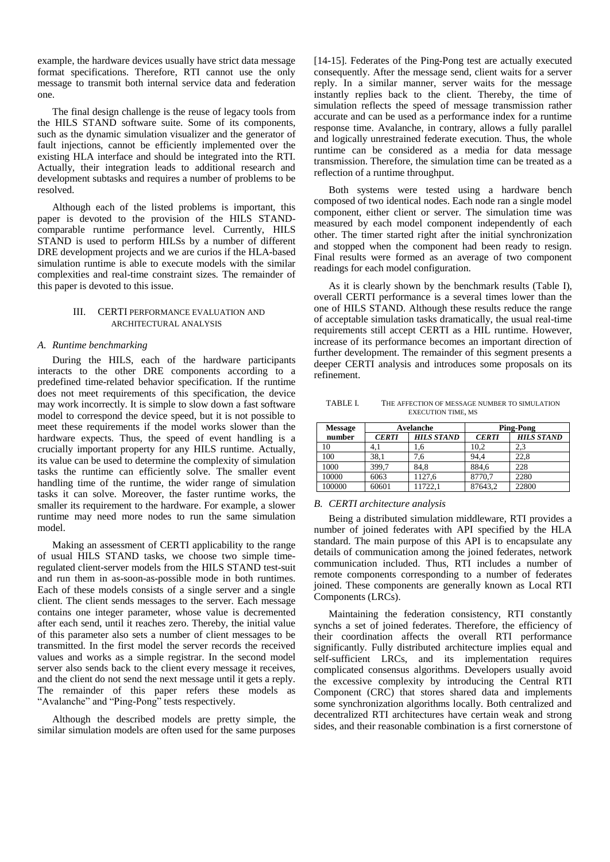example, the hardware devices usually have strict data message format specifications. Therefore, RTI cannot use the only message to transmit both internal service data and federation one.

The final design challenge is the reuse of legacy tools from the HILS STAND software suite. Some of its components, such as the dynamic simulation visualizer and the generator of fault injections, cannot be efficiently implemented over the existing HLA interface and should be integrated into the RTI. Actually, their integration leads to additional research and development subtasks and requires a number of problems to be resolved.

Although each of the listed problems is important, this paper is devoted to the provision of the HILS STANDcomparable runtime performance level. Currently, HILS STAND is used to perform HILSs by a number of different DRE development projects and we are curios if the HLA-based simulation runtime is able to execute models with the similar complexities and real-time constraint sizes. The remainder of this paper is devoted to this issue.

# III. CERTI PERFORMANCE EVALUATION AND ARCHITECTURAL ANALYSIS

## *A. Runtime benchmarking*

During the HILS, each of the hardware participants interacts to the other DRE components according to a predefined time-related behavior specification. If the runtime does not meet requirements of this specification, the device may work incorrectly. It is simple to slow down a fast software model to correspond the device speed, but it is not possible to meet these requirements if the model works slower than the hardware expects. Thus, the speed of event handling is a crucially important property for any HILS runtime. Actually, its value can be used to determine the complexity of simulation tasks the runtime can efficiently solve. The smaller event handling time of the runtime, the wider range of simulation tasks it can solve. Moreover, the faster runtime works, the smaller its requirement to the hardware. For example, a slower runtime may need more nodes to run the same simulation model.

Making an assessment of CERTI applicability to the range of usual HILS STAND tasks, we choose two simple timeregulated client-server models from the HILS STAND test-suit and run them in as-soon-as-possible mode in both runtimes. Each of these models consists of a single server and a single client. The client sends messages to the server. Each message contains one integer parameter, whose value is decremented after each send, until it reaches zero. Thereby, the initial value of this parameter also sets a number of client messages to be transmitted. In the first model the server records the received values and works as a simple registrar. In the second model server also sends back to the client every message it receives, and the client do not send the next message until it gets a reply. The remainder of this paper refers these models as "Avalanche" and "Ping-Pong" tests respectively.

Although the described models are pretty simple, the similar simulation models are often used for the same purposes

[14-15]. Federates of the Ping-Pong test are actually executed consequently. After the message send, client waits for a server reply. In a similar manner, server waits for the message instantly replies back to the client. Thereby, the time of simulation reflects the speed of message transmission rather accurate and can be used as a performance index for a runtime response time. Avalanche, in contrary, allows a fully parallel and logically unrestrained federate execution. Thus, the whole runtime can be considered as a media for data message transmission. Therefore, the simulation time can be treated as a reflection of a runtime throughput.

Both systems were tested using a hardware bench composed of two identical nodes. Each node ran a single model component, either client or server. The simulation time was measured by each model component independently of each other. The timer started right after the initial synchronization and stopped when the component had been ready to resign. Final results were formed as an average of two component readings for each model configuration.

As it is clearly shown by the benchmark results (Table I), overall CERTI performance is a several times lower than the one of HILS STAND. Although these results reduce the range of acceptable simulation tasks dramatically, the usual real-time requirements still accept CERTI as a HIL runtime. However, increase of its performance becomes an important direction of further development. The remainder of this segment presents a deeper CERTI analysis and introduces some proposals on its refinement.

TABLE I. THE AFFECTION OF MESSAGE NUMBER TO SIMULATION EXECUTION TIME, MS

| <b>Message</b> | Avelanche    |                   | <b>Ping-Pong</b> |                   |
|----------------|--------------|-------------------|------------------|-------------------|
| number         | <b>CERTI</b> | <b>HILS STAND</b> | <b>CERTI</b>     | <b>HILS STAND</b> |
| 10             | 4.1          | 1.6               | 10.2             | 2,3               |
| 100            | 38.1         | 7.6               | 94.4             | 22.8              |
| 1000           | 399.7        | 84.8              | 884,6            | 228               |
| 10000          | 6063         | 1127,6            | 8770,7           | 2280              |
| 100000         | 60601        | 11722.1           | 87643.2          | 22800             |

# *B. CERTI architecture analysis*

Being a distributed simulation middleware, RTI provides a number of joined federates with API specified by the HLA standard. The main purpose of this API is to encapsulate any details of communication among the joined federates, network communication included. Thus, RTI includes a number of remote components corresponding to a number of federates joined. These components are generally known as Local RTI Components (LRCs).

Maintaining the federation consistency, RTI constantly synchs a set of joined federates. Therefore, the efficiency of their coordination affects the overall RTI performance significantly. Fully distributed architecture implies equal and self-sufficient LRCs, and its implementation requires complicated consensus algorithms. Developers usually avoid the excessive complexity by introducing the Central RTI Component (CRC) that stores shared data and implements some synchronization algorithms locally. Both centralized and decentralized RTI architectures have certain weak and strong sides, and their reasonable combination is a first cornerstone of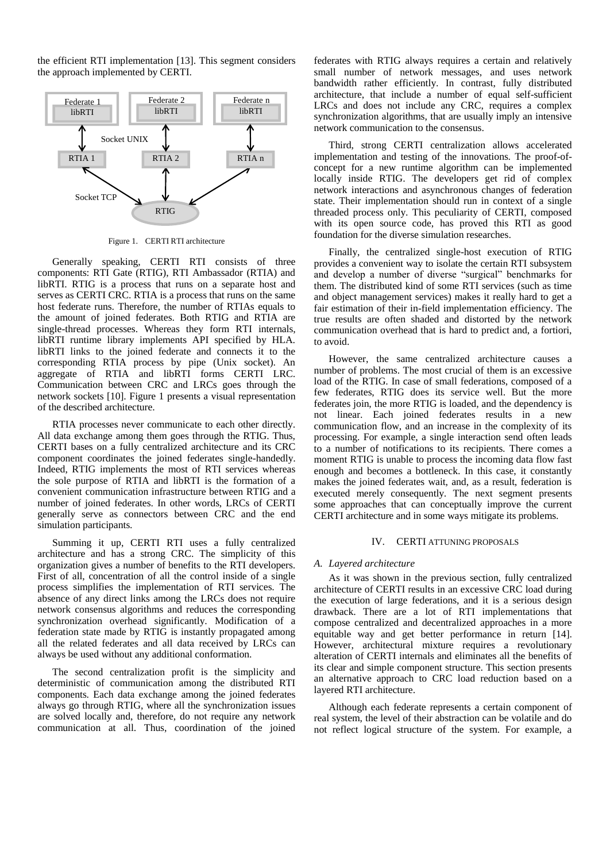the efficient RTI implementation [13]. This segment considers the approach implemented by CERTI.



Figure 1. CERTI RTI architecture

Generally speaking, CERTI RTI consists of three components: RTI Gate (RTIG), RTI Ambassador (RTIA) and libRTI. RTIG is a process that runs on a separate host and serves as CERTI CRC. RTIA is a process that runs on the same host federate runs. Therefore, the number of RTIAs equals to the amount of joined federates. Both RTIG and RTIA are single-thread processes. Whereas they form RTI internals, libRTI runtime library implements API specified by HLA. libRTI links to the joined federate and connects it to the corresponding RTIA process by pipe (Unix socket). An aggregate of RTIA and libRTI forms CERTI LRC. Communication between CRC and LRCs goes through the network sockets [10]. Figure 1 presents a visual representation of the described architecture.

RTIA processes never communicate to each other directly. All data exchange among them goes through the RTIG. Thus, CERTI bases on a fully centralized architecture and its CRC component coordinates the joined federates single-handedly. Indeed, RTIG implements the most of RTI services whereas the sole purpose of RTIA and libRTI is the formation of a convenient communication infrastructure between RTIG and a number of joined federates. In other words, LRCs of CERTI generally serve as connectors between CRC and the end simulation participants.

Summing it up, CERTI RTI uses a fully centralized architecture and has a strong CRC. The simplicity of this organization gives a number of benefits to the RTI developers. First of all, concentration of all the control inside of a single process simplifies the implementation of RTI services. The absence of any direct links among the LRCs does not require network consensus algorithms and reduces the corresponding synchronization overhead significantly. Modification of a federation state made by RTIG is instantly propagated among all the related federates and all data received by LRCs can always be used without any additional conformation.

The second centralization profit is the simplicity and deterministic of communication among the distributed RTI components. Each data exchange among the joined federates always go through RTIG, where all the synchronization issues are solved locally and, therefore, do not require any network communication at all. Thus, coordination of the joined

federates with RTIG always requires a certain and relatively small number of network messages, and uses network bandwidth rather efficiently. In contrast, fully distributed architecture, that include a number of equal self-sufficient LRCs and does not include any CRC, requires a complex synchronization algorithms, that are usually imply an intensive network communication to the consensus.

Third, strong CERTI centralization allows accelerated implementation and testing of the innovations. The proof-ofconcept for a new runtime algorithm can be implemented locally inside RTIG. The developers get rid of complex network interactions and asynchronous changes of federation state. Their implementation should run in context of a single threaded process only. This peculiarity of CERTI, composed with its open source code, has proved this RTI as good foundation for the diverse simulation researches.

Finally, the centralized single-host execution of RTIG provides a convenient way to isolate the certain RTI subsystem and develop a number of diverse "surgical" benchmarks for them. The distributed kind of some RTI services (such as time and object management services) makes it really hard to get a fair estimation of their in-field implementation efficiency. The true results are often shaded and distorted by the network communication overhead that is hard to predict and, a fortiori, to avoid.

However, the same centralized architecture causes a number of problems. The most crucial of them is an excessive load of the RTIG. In case of small federations, composed of a few federates, RTIG does its service well. But the more federates join, the more RTIG is loaded, and the dependency is not linear. Each joined federates results in a new communication flow, and an increase in the complexity of its processing. For example, a single interaction send often leads to a number of notifications to its recipients. There comes a moment RTIG is unable to process the incoming data flow fast enough and becomes a bottleneck. In this case, it constantly makes the joined federates wait, and, as a result, federation is executed merely consequently. The next segment presents some approaches that can conceptually improve the current CERTI architecture and in some ways mitigate its problems.

## IV. CERTI ATTUNING PROPOSALS

## *A. Layered architecture*

As it was shown in the previous section, fully centralized architecture of CERTI results in an excessive CRC load during the execution of large federations, and it is a serious design drawback. There are a lot of RTI implementations that compose centralized and decentralized approaches in a more equitable way and get better performance in return [14]. However, architectural mixture requires a revolutionary alteration of CERTI internals and eliminates all the benefits of its clear and simple component structure. This section presents an alternative approach to CRC load reduction based on a layered RTI architecture.

Although each federate represents a certain component of real system, the level of their abstraction can be volatile and do not reflect logical structure of the system. For example, a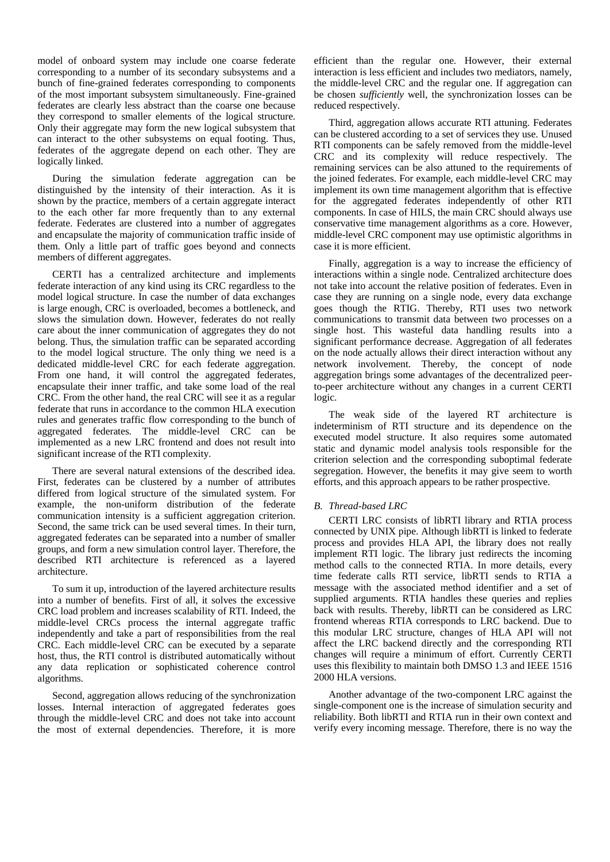model of onboard system may include one coarse federate corresponding to a number of its secondary subsystems and a bunch of fine-grained federates corresponding to components of the most important subsystem simultaneously. Fine-grained federates are clearly less abstract than the coarse one because they correspond to smaller elements of the logical structure. Only their aggregate may form the new logical subsystem that can interact to the other subsystems on equal footing. Thus, federates of the aggregate depend on each other. They are logically linked.

During the simulation federate aggregation can be distinguished by the intensity of their interaction. As it is shown by the practice, members of a certain aggregate interact to the each other far more frequently than to any external federate. Federates are clustered into a number of aggregates and encapsulate the majority of communication traffic inside of them. Only a little part of traffic goes beyond and connects members of different aggregates.

CERTI has a centralized architecture and implements federate interaction of any kind using its CRC regardless to the model logical structure. In case the number of data exchanges is large enough, CRC is overloaded, becomes a bottleneck, and slows the simulation down. However, federates do not really care about the inner communication of aggregates they do not belong. Thus, the simulation traffic can be separated according to the model logical structure. The only thing we need is a dedicated middle-level CRC for each federate aggregation. From one hand, it will control the aggregated federates, encapsulate their inner traffic, and take some load of the real CRC. From the other hand, the real CRC will see it as a regular federate that runs in accordance to the common HLA execution rules and generates traffic flow corresponding to the bunch of aggregated federates. The middle-level CRC can be implemented as a new LRC frontend and does not result into significant increase of the RTI complexity.

There are several natural extensions of the described idea. First, federates can be clustered by a number of attributes differed from logical structure of the simulated system. For example, the non-uniform distribution of the federate communication intensity is a sufficient aggregation criterion. Second, the same trick can be used several times. In their turn, aggregated federates can be separated into a number of smaller groups, and form a new simulation control layer. Therefore, the described RTI architecture is referenced as a layered architecture.

To sum it up, introduction of the layered architecture results into a number of benefits. First of all, it solves the excessive CRC load problem and increases scalability of RTI. Indeed, the middle-level CRCs process the internal aggregate traffic independently and take a part of responsibilities from the real CRC. Each middle-level CRC can be executed by a separate host, thus, the RTI control is distributed automatically without any data replication or sophisticated coherence control algorithms.

Second, aggregation allows reducing of the synchronization losses. Internal interaction of aggregated federates goes through the middle-level CRC and does not take into account the most of external dependencies. Therefore, it is more

efficient than the regular one. However, their external interaction is less efficient and includes two mediators, namely, the middle-level CRC and the regular one. If aggregation can be chosen *sufficiently* well, the synchronization losses can be reduced respectively.

Third, aggregation allows accurate RTI attuning. Federates can be clustered according to a set of services they use. Unused RTI components can be safely removed from the middle-level CRC and its complexity will reduce respectively. The remaining services can be also attuned to the requirements of the joined federates. For example, each middle-level CRC may implement its own time management algorithm that is effective for the aggregated federates independently of other RTI components. In case of HILS, the main CRC should always use conservative time management algorithms as a core. However, middle-level CRC component may use optimistic algorithms in case it is more efficient.

Finally, aggregation is a way to increase the efficiency of interactions within a single node. Centralized architecture does not take into account the relative position of federates. Even in case they are running on a single node, every data exchange goes though the RTIG. Thereby, RTI uses two network communications to transmit data between two processes on a single host. This wasteful data handling results into a significant performance decrease. Aggregation of all federates on the node actually allows their direct interaction without any network involvement. Thereby, the concept of node aggregation brings some advantages of the decentralized peerto-peer architecture without any changes in a current CERTI logic.

The weak side of the layered RT architecture is indeterminism of RTI structure and its dependence on the executed model structure. It also requires some automated static and dynamic model analysis tools responsible for the criterion selection and the corresponding suboptimal federate segregation. However, the benefits it may give seem to worth efforts, and this approach appears to be rather prospective.

# *B. Thread-based LRC*

CERTI LRC consists of libRTI library and RTIA process connected by UNIX pipe. Although libRTI is linked to federate process and provides HLA API, the library does not really implement RTI logic. The library just redirects the incoming method calls to the connected RTIA. In more details, every time federate calls RTI service, libRTI sends to RTIA a message with the associated method identifier and a set of supplied arguments. RTIA handles these queries and replies back with results. Thereby, libRTI can be considered as LRC frontend whereas RTIA corresponds to LRC backend. Due to this modular LRC structure, changes of HLA API will not affect the LRC backend directly and the corresponding RTI changes will require a minimum of effort. Currently CERTI uses this flexibility to maintain both DMSO 1.3 and IEEE 1516 2000 HLA versions.

Another advantage of the two-component LRC against the single-component one is the increase of simulation security and reliability. Both libRTI and RTIA run in their own context and verify every incoming message. Therefore, there is no way the